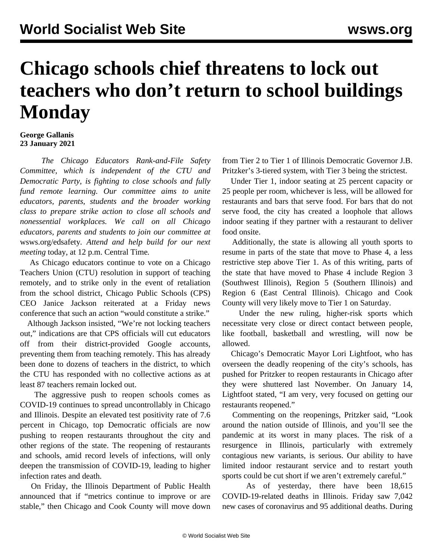## **Chicago schools chief threatens to lock out teachers who don't return to school buildings Monday**

## **George Gallanis 23 January 2021**

 *The Chicago Educators Rank-and-File Safety Committee, which is independent of the CTU and Democratic Party, is fighting to close schools and fully fund remote learning. Our committee aims to unite educators, parents, students and the broader working class to prepare strike action to close all schools and nonessential workplaces. We call on all Chicago educators, parents and students to join our committee at* [wsws.org/edsafety](/edsafety)*. Attend and help build for our next meeting* [today, at 12 p.m. Central Time](https://attendee.gotowebinar.com/register/1418311038670350860)*.*

 As Chicago educators continue to vote on a Chicago Teachers Union (CTU) resolution in support of teaching remotely, and to strike only in the event of retaliation from the school district, Chicago Public Schools (CPS) CEO Janice Jackson reiterated at a Friday news conference that such an action "would constitute a strike."

 Although Jackson insisted, "We're not locking teachers out," indications are that CPS officials will cut educators off from their district-provided Google accounts, preventing them from teaching remotely. This has [already](/en/articles/2021/01/13/chic-j13.html) [been done to dozens of teachers](/en/articles/2021/01/13/chic-j13.html) in the district, to which the CTU has responded with no collective actions as at least 87 teachers remain locked out.

 The aggressive push to reopen schools comes as COVID-19 continues to spread uncontrollably in Chicago and Illinois. Despite an elevated test positivity rate of 7.6 percent in Chicago, top Democratic officials are now pushing to reopen restaurants throughout the city and other regions of the state. The reopening of restaurants and schools, amid record levels of infections, will only deepen the transmission of COVID-19, leading to higher infection rates and death.

 On Friday, the Illinois Department of Public Health announced that if "metrics continue to improve or are stable," then Chicago and Cook County will move down from Tier 2 to Tier 1 of Illinois Democratic Governor J.B. Pritzker's 3-tiered system, with Tier 3 being the strictest.

 Under Tier 1, indoor seating at 25 percent capacity or 25 people per room, whichever is less, will be allowed for restaurants and bars that serve food. For bars that do not serve food, the city has created a loophole that allows indoor seating if they partner with a restaurant to deliver food onsite.

 Additionally, the state is allowing all youth sports to resume in parts of the state that move to Phase 4, a less restrictive step above Tier 1. As of this writing, parts of the state that have moved to Phase 4 include Region 3 (Southwest Illinois), Region 5 (Southern Illinois) and Region 6 (East Central Illinois). Chicago and Cook County will very likely move to Tier 1 on Saturday.

 Under the new ruling, higher-risk sports which necessitate very close or direct contact between people, like football, basketball and wrestling, will now be allowed.

 Chicago's Democratic Mayor Lori Lightfoot, who has overseen the deadly reopening of the city's schools, has pushed for Pritzker to reopen restaurants in Chicago after they were shuttered last November. On January 14, Lightfoot stated, "I am very, very focused on getting our restaurants reopened."

 Commenting on the reopenings, Pritzker said, "Look around the nation outside of Illinois, and you'll see the pandemic at its worst in many places. The risk of a resurgence in Illinois, particularly with extremely contagious new variants, is serious. Our ability to have limited indoor restaurant service and to restart youth sports could be cut short if we aren't extremely careful."

 As of yesterday, there have been 18,615 COVID-19-related deaths in Illinois. Friday saw 7,042 new cases of coronavirus and 95 additional deaths. During